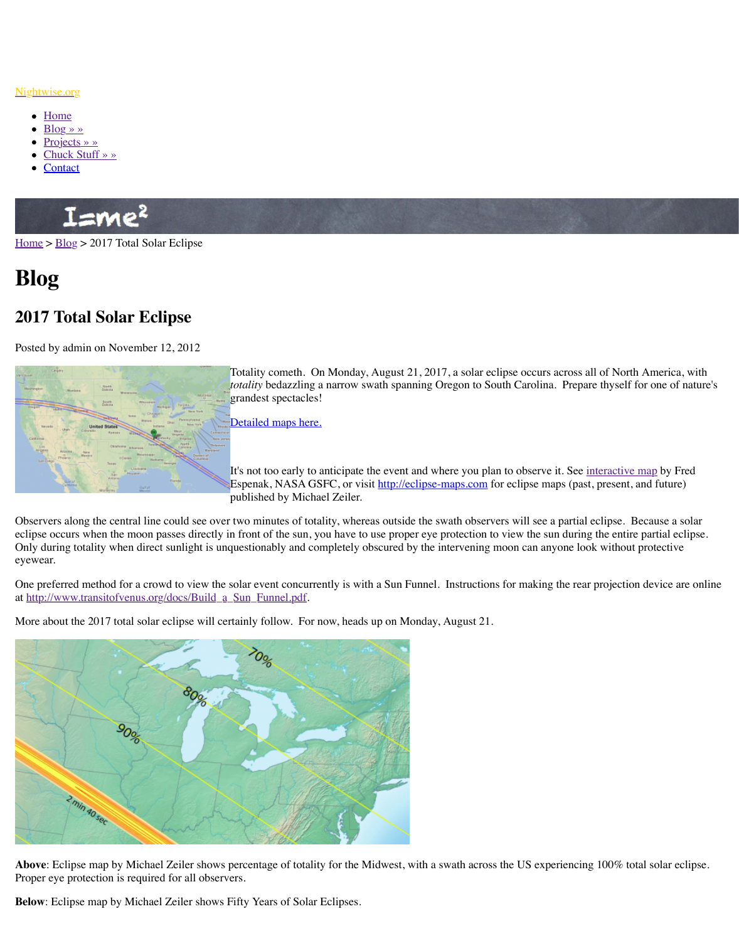North<br>Nation South **United State** 

Totality cometh. On Monday, August  $21, 201$ *totality* bedazzling a narrow swath spanning Q grandest spectacles!

Detailed maps here.

It's not too early to anticipate the event and w Espenak, NASA GSFC, or visit http://eclipse published by Michael Zeiler.

Obser[vers along the ce](http://www.nightwise.org/chuck-stuff/)ntral line could see over two minutes of totality, whereas outside the s eclips[e occurs](http://www.nightwise.org/contact/) when the moon passes directly in front of the sun, you have to use proper eye Only during totality when direct sunlight is unquestionably and completely obscured by the interventing more look with  $\epsilon$ . eyewear.

One preferred method for a crowd to view the solar event concurrently is with a Sun Funnel. at http://www.transitofvenus.org/docs/Build\_a\_Sun\_Funnel.pdf.

[More a](http://www.nightwise.org/)b[out th](http://www.nightwise.org/blog/)e 2017 total solar eclipse will certainly follow. For now, heads up on Monday



Above: Eclipse map by Michael Zeiler shows percentage of totality for the Midwest, with a Proper eye protection is required for all observers.

**Below**: Eclipse map by Michael Zeiler shows Fifty Years of Solar Eclipses.